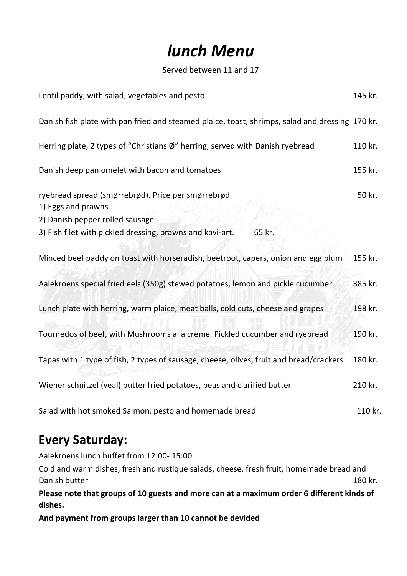# *lunch Menu*

Served between 11 and 17

| Lentil paddy, with salad, vegetables and pesto                                                                                                                                     | 145 kr. |
|------------------------------------------------------------------------------------------------------------------------------------------------------------------------------------|---------|
| Danish fish plate with pan fried and steamed plaice, toast, shrimps, salad and dressing 170 kr.                                                                                    |         |
| Herring plate, 2 types of "Christians $\emptyset$ " herring, served with Danish ryebread                                                                                           | 110 kr. |
| Danish deep pan omelet with bacon and tomatoes                                                                                                                                     | 155 kr. |
| ryebread spread (smørrebrød). Price per smørrebrød<br>1) Eggs and prawns<br>2) Danish pepper rolled sausage<br>3) Fish filet with pickled dressing, prawns and kavi-art.<br>65 kr. | 50 kr.  |
| Minced beef paddy on toast with horseradish, beetroot, capers, onion and egg plum                                                                                                  | 155 kr. |
| Aalekroens special fried eels (350g) stewed potatoes, lemon and pickle cucumber                                                                                                    | 385 kr. |
| Lunch plate with herring, warm plaice, meat balls, cold cuts, cheese and grapes                                                                                                    | 198 kr. |
| Tournedos of beef, with Mushrooms á la crème. Pickled cucumber and ryebread                                                                                                        | 190 kr. |
| Tapas with 1 type of fish, 2 types of sausage, cheese, olives, fruit and bread/crackers                                                                                            | 180 kr. |
| Wiener schnitzel (veal) butter fried potatoes, peas and clarified butter                                                                                                           | 210 kr. |
| Salad with hot smoked Salmon, pesto and homemade bread                                                                                                                             | 110 kr. |

## **Every Saturday:**

Aalekroens lunch buffet from 12:00- 15:00

Cold and warm dishes, fresh and rustique salads, cheese, fresh fruit, homemade bread and Danish butter 180 kr.

**Please note that groups of 10 guests and more can at a maximum order 6 different kinds of dishes.**

**And payment from groups larger than 10 cannot be devided**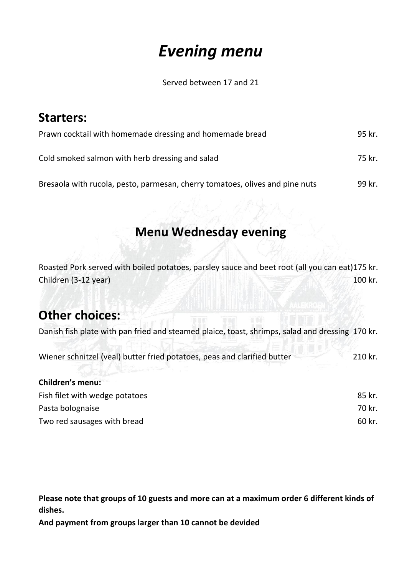# *Evening menu*

Served between 17 and 21

| <b>Starters:</b>                                                             |        |
|------------------------------------------------------------------------------|--------|
| Prawn cocktail with homemade dressing and homemade bread                     | 95 kr. |
| Cold smoked salmon with herb dressing and salad                              | 75 kr. |
| Bresaola with rucola, pesto, parmesan, cherry tomatoes, olives and pine nuts | 99 kr. |

## **Menu Wednesday evening**

Roasted Pork served with boiled potatoes, parsley sauce and beet root (all you can eat)175 kr. Children (3-12 year) 100 kr.

#### **Other choices:**

Danish fish plate with pan fried and steamed plaice, toast, shrimps, salad and dressing 170 kr.

| Wiener schnitzel (yeal) butter fried potatoes, peas and clarified butter<br>a v s e santantegran a | 210 kr. |
|----------------------------------------------------------------------------------------------------|---------|
| <b>Children's menu:</b>                                                                            |         |
| Fish filet with wedge potatoes                                                                     | 85 kr.  |
| Pasta bolognaise                                                                                   | 70 kr.  |
| Two red sausages with bread                                                                        | 60 kr.  |

**Please note that groups of 10 guests and more can at a maximum order 6 different kinds of dishes.**

**And payment from groups larger than 10 cannot be devided**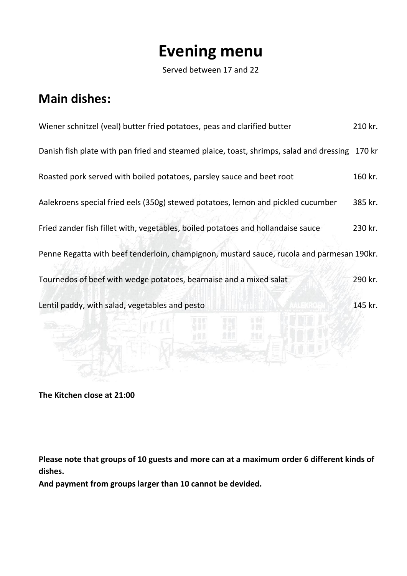## **Evening menu**

Served between 17 and 22

### **Main dishes:**

| Wiener schnitzel (veal) butter fried potatoes, peas and clarified butter                  | 210 kr. |
|-------------------------------------------------------------------------------------------|---------|
| Danish fish plate with pan fried and steamed plaice, toast, shrimps, salad and dressing   | 170 kr  |
| Roasted pork served with boiled potatoes, parsley sauce and beet root                     | 160 kr. |
| Aalekroens special fried eels (350g) stewed potatoes, lemon and pickled cucumber          | 385 kr. |
| Fried zander fish fillet with, vegetables, boiled potatoes and hollandaise sauce          | 230 kr. |
| Penne Regatta with beef tenderloin, champignon, mustard sauce, rucola and parmesan 190kr. |         |
| Tournedos of beef with wedge potatoes, bearnaise and a mixed salat                        | 290 kr. |
| Lentil paddy, with salad, vegetables and pesto                                            | 145 kr. |
|                                                                                           |         |
|                                                                                           |         |
|                                                                                           |         |

**The Kitchen close at 21:00**

**Please note that groups of 10 guests and more can at a maximum order 6 different kinds of dishes.**

**And payment from groups larger than 10 cannot be devided.**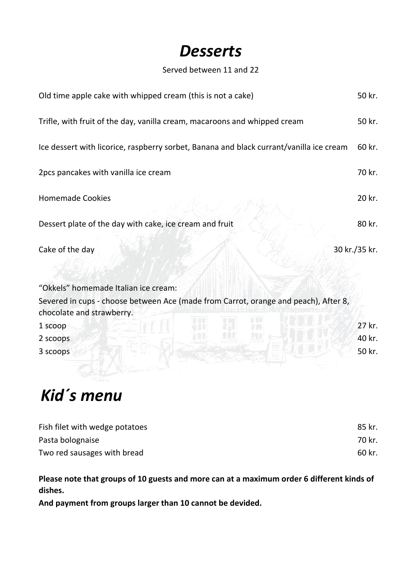## *Desserts*

#### Served between 11 and 22

| Old time apple cake with whipped cream (this is not a cake)                                                                 | 50 kr.        |
|-----------------------------------------------------------------------------------------------------------------------------|---------------|
| Trifle, with fruit of the day, vanilla cream, macaroons and whipped cream                                                   | 50 kr.        |
| Ice dessert with licorice, raspberry sorbet, Banana and black currant/vanilla ice cream                                     | 60 kr.        |
| 2pcs pancakes with vanilla ice cream                                                                                        | 70 kr.        |
| <b>Homemade Cookies</b>                                                                                                     | 20 kr.        |
| Dessert plate of the day with cake, ice cream and fruit                                                                     | 80 kr.        |
| Cake of the day                                                                                                             | 30 kr./35 kr. |
| "Okkels" homemade Italian ice cream:<br>Severed in cups - choose between Ace (made from Carrot, orange and peach), After 8, |               |
| chocolate and strawberry.                                                                                                   |               |
| 1 scoop                                                                                                                     | 27 kr.        |
| 2 scoops                                                                                                                    | 40 kr.        |
| 3 scoops                                                                                                                    | 50 kr.        |

# *Kid´s menu*

| Fish filet with wedge potatoes | 85 kr. |
|--------------------------------|--------|
| Pasta bolognaise               | 70 kr. |
| Two red sausages with bread    | 60 kr. |

**Please note that groups of 10 guests and more can at a maximum order 6 different kinds of dishes.**

**And payment from groups larger than 10 cannot be devided.**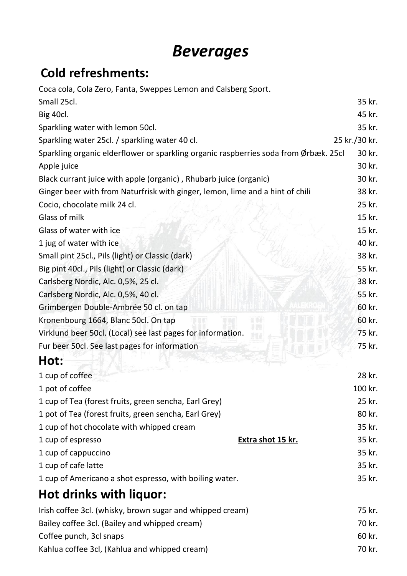# *Beverages*

## **Cold refreshments:**

| Coca cola, Cola Zero, Fanta, Sweppes Lemon and Calsberg Sport.                       |               |
|--------------------------------------------------------------------------------------|---------------|
| Small 25cl.                                                                          | 35 kr.        |
| Big 40cl.                                                                            | 45 kr.        |
| Sparkling water with lemon 50cl.                                                     | 35 kr.        |
| Sparkling water 25cl. / sparkling water 40 cl.                                       | 25 kr./30 kr. |
| Sparkling organic elderflower or sparkling organic raspberries soda from Ørbæk. 25cl | 30 kr.        |
| Apple juice                                                                          | 30 kr.        |
| Black currant juice with apple (organic), Rhubarb juice (organic)                    | 30 kr.        |
| Ginger beer with from Naturfrisk with ginger, lemon, lime and a hint of chili        | 38 kr.        |
| Cocio, chocolate milk 24 cl.                                                         | 25 kr.        |
| Glass of milk                                                                        | 15 kr.        |
| Glass of water with ice                                                              | 15 kr.        |
| 1 jug of water with ice                                                              | 40 kr.        |
| Small pint 25cl., Pils (light) or Classic (dark)                                     | 38 kr.        |
| Big pint 40cl., Pils (light) or Classic (dark)                                       | 55 kr.        |
| Carlsberg Nordic, Alc. 0,5%, 25 cl.                                                  | 38 kr.        |
| Carlsberg Nordic, Alc. 0,5%, 40 cl.                                                  | 55 kr.        |
| Grimbergen Double-Ambrée 50 cl. on tap                                               | 60 kr.        |
| Kronenbourg 1664, Blanc 50cl. On tap                                                 | 60 kr.        |
| Virklund beer 50cl. (Local) see last pages for information.                          | 75 kr.        |
| Fur beer 50cl. See last pages for information                                        | 75 kr.        |
| Hot:                                                                                 |               |
| 1 cup of coffee                                                                      | 28 kr.        |
| 1 pot of coffee                                                                      | 100 kr.       |
| 1 cup of Tea (forest fruits, green sencha, Earl Grey)                                | 25 kr.        |
| 1 pot of Tea (forest fruits, green sencha, Earl Grey)                                | 80 kr.        |
| 1 cup of hot chocolate with whipped cream                                            | 35 kr.        |
| 1 cup of espresso<br>Extra shot 15 kr.                                               | 35 kr.        |
| 1 cup of cappuccino                                                                  | 35 kr.        |
| 1 cup of cafe latte                                                                  | 35 kr.        |
| 1 cup of Americano a shot espresso, with boiling water.                              | 35 kr.        |
| Hot drinks with liquor:                                                              |               |
| Irish coffee 3cl. (whisky, brown sugar and whipped cream)                            | 75 kr.        |
| Bailey coffee 3cl. (Bailey and whipped cream)                                        | 70 kr.        |
| Coffee punch, 3cl snaps                                                              | 60 kr.        |
| Kahlua coffee 3cl, (Kahlua and whipped cream)                                        | 70 kr.        |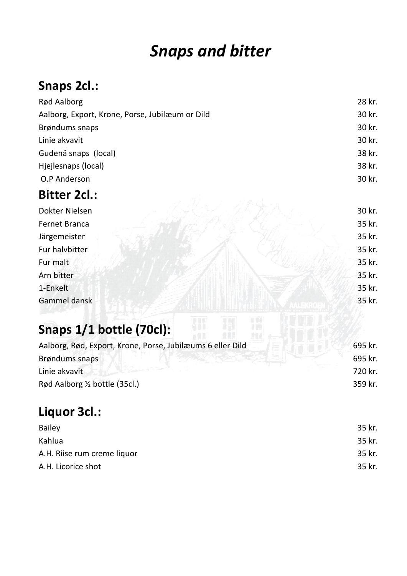# *Snaps and bitter*

## **Snaps 2cl.:**

| Rød Aalborg                                     | 28 kr. |
|-------------------------------------------------|--------|
| Aalborg, Export, Krone, Porse, Jubilæum or Dild | 30 kr. |
| Brøndums snaps                                  | 30 kr. |
| Linie akvavit                                   | 30 kr. |
| Gudenå snaps (local)                            | 38 kr. |
| Hjejlesnaps (local)                             | 38 kr. |
| O.P Anderson                                    | 30 kr. |
| <b>Bitter 2cl.:</b>                             |        |
| Dokter Nielsen                                  | 30 kr. |
| Fernet Branca                                   | 35 kr. |
| Järgemeister                                    | 35 kr. |
| Fur halvbitter                                  | 35 kr. |

- Fur malt  $\mathbb{Z}$  ,  $\mathbb{Z}$  ,  $\mathbb{Z}$  ,  $\mathbb{Z}$  ,  $\mathbb{Z}$  ,  $\mathbb{Z}$  ,  $\mathbb{Z}$  ,  $\mathbb{Z}$  ,  $\mathbb{Z}$  ,  $\mathbb{Z}$  ,  $\mathbb{Z}$  ,  $\mathbb{Z}$  ,  $\mathbb{Z}$  ,  $\mathbb{Z}$  ,  $\mathbb{Z}$  ,  $\mathbb{Z}$  ,  $\mathbb{Z}$  ,  $\mathbb{Z}$  ,  $\mathbb{Z}$  ,  $\math$
- Arn bitter 35 kr.
- 1-Enkelt 35 kr.
- Gammel dansk at de state in the state of the state of the state of the state of the state of the state of the state of the state of the state of the state of the state of the state of the state of the state of the state of

## **Snaps 1/1 bottle (70cl):**

| Aalborg, Rød, Export, Krone, Porse, Jubilæums 6 eller Dild | 695 kr. |
|------------------------------------------------------------|---------|
| Brøndums snaps                                             | 695 kr. |
| Linie akvavit                                              | 720 kr. |
| Rød Aalborg $\frac{1}{2}$ bottle (35cl.)                   | 359 kr. |
|                                                            |         |

## **Liquor 3cl.:**

| <b>Bailey</b>               | 35 kr. |
|-----------------------------|--------|
| Kahlua                      | 35 kr. |
| A.H. Riise rum creme liquor | 35 kr. |
| A.H. Licorice shot          | 35 kr. |
|                             |        |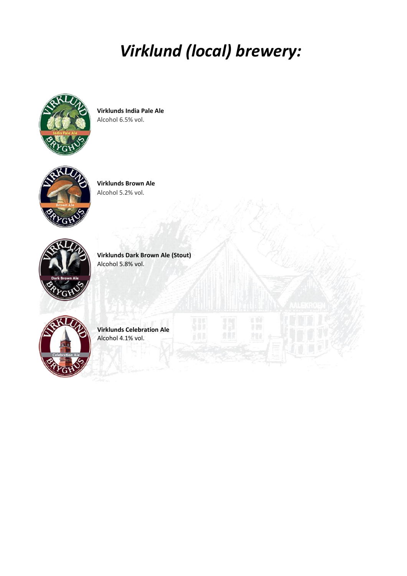# *Virklund (local) brewery:*



**Virklunds India Pale Ale** Alcohol 6.5% vol.



**Virklunds Brown Ale** Alcohol 5.2% vol.



**Virklunds Dark Brown Ale (Stout)** Alcohol 5.8% vol.



**Virklunds Celebration Ale** Alcohol 4.1% vol.